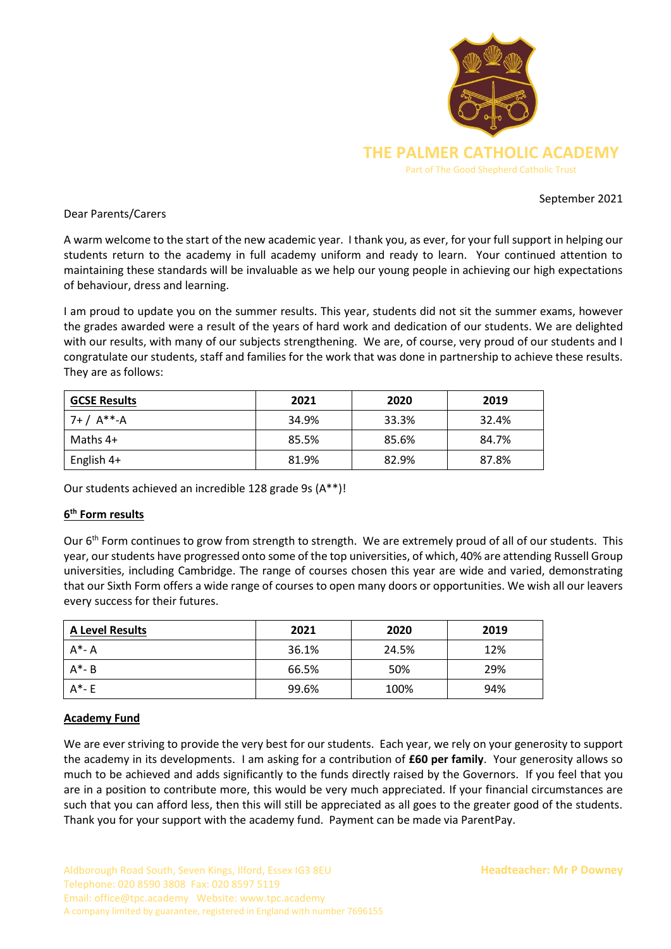

### September 2021

### Dear Parents/Carers

A warm welcome to the start of the new academic year. I thank you, as ever, for your full support in helping our students return to the academy in full academy uniform and ready to learn. Your continued attention to maintaining these standards will be invaluable as we help our young people in achieving our high expectations of behaviour, dress and learning.

I am proud to update you on the summer results. This year, students did not sit the summer exams, however the grades awarded were a result of the years of hard work and dedication of our students. We are delighted with our results, with many of our subjects strengthening. We are, of course, very proud of our students and I congratulate our students, staff and families for the work that was done in partnership to achieve these results. They are as follows:

| <b>GCSE Results</b> | 2021  | 2020  | 2019  |
|---------------------|-------|-------|-------|
| $7+ / A^{**-}A$     | 34.9% | 33.3% | 32.4% |
| Maths 4+            | 85.5% | 85.6% | 84.7% |
| English 4+          | 81.9% | 82.9% | 87.8% |

Our students achieved an incredible 128 grade 9s (A\*\*)!

# **6 th Form results**

Our 6<sup>th</sup> Form continues to grow from strength to strength. We are extremely proud of all of our students. This year, our students have progressed onto some of the top universities, of which, 40% are attending Russell Group universities, including Cambridge. The range of courses chosen this year are wide and varied, demonstrating that our Sixth Form offers a wide range of courses to open many doors or opportunities. We wish all our leavers every success for their futures.

| <b>A Level Results</b> | 2021  | 2020  | 2019 |
|------------------------|-------|-------|------|
| $A^*$ - A              | 36.1% | 24.5% | 12%  |
| $A^*$ - B              | 66.5% | 50%   | 29%  |
| $A^*$ - E              | 99.6% | 100%  | 94%  |

### **Academy Fund**

We are ever striving to provide the very best for our students. Each year, we rely on your generosity to support the academy in its developments. I am asking for a contribution of **£60 per family**. Your generosity allows so much to be achieved and adds significantly to the funds directly raised by the Governors. If you feel that you are in a position to contribute more, this would be very much appreciated. If your financial circumstances are such that you can afford less, then this will still be appreciated as all goes to the greater good of the students. Thank you for your support with the academy fund. Payment can be made via ParentPay.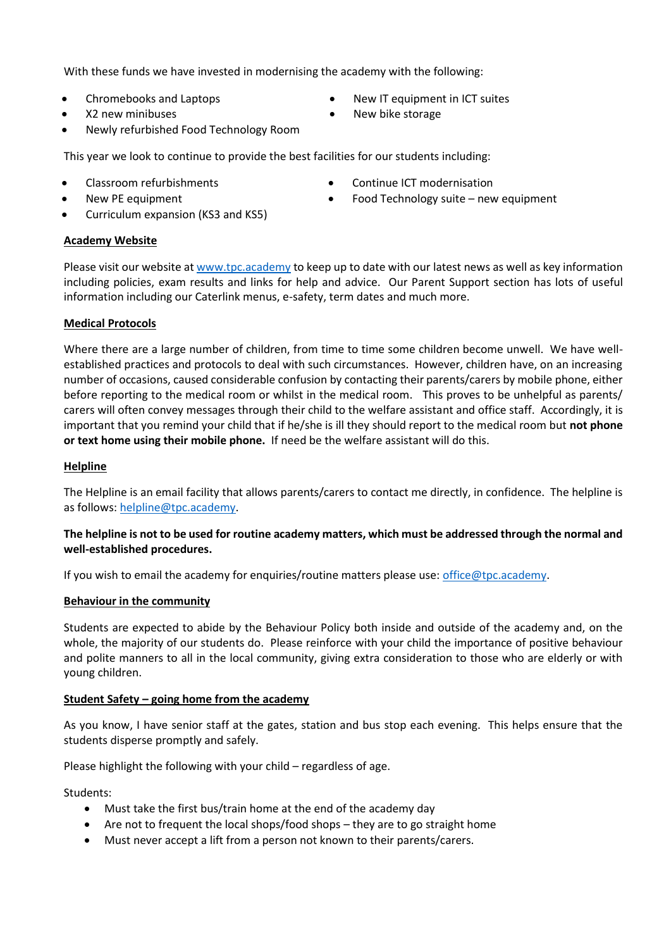With these funds we have invested in modernising the academy with the following:

- 
- X2 new minibuses **•** New bike storage
- Newly refurbished Food Technology Room

This year we look to continue to provide the best facilities for our students including:

- Classroom refurbishments Continue ICT modernisation
- New PE equipment **•** Food Technology suite new equipment
- Curriculum expansion (KS3 and KS5)

### **Academy Website**

Please visit our website a[t www.tpc.academy](http://www.tpc.academy/) to keep up to date with our latest news as well as key information including policies, exam results and links for help and advice. Our Parent Support section has lots of useful information including our Caterlink menus, e-safety, term dates and much more.

## **Medical Protocols**

Where there are a large number of children, from time to time some children become unwell. We have wellestablished practices and protocols to deal with such circumstances. However, children have, on an increasing number of occasions, caused considerable confusion by contacting their parents/carers by mobile phone, either before reporting to the medical room or whilst in the medical room. This proves to be unhelpful as parents/ carers will often convey messages through their child to the welfare assistant and office staff. Accordingly, it is important that you remind your child that if he/she is ill they should report to the medical room but **not phone or text home using their mobile phone.** If need be the welfare assistant will do this.

### **Helpline**

The Helpline is an email facility that allows parents/carers to contact me directly, in confidence. The helpline is as follows: [helpline@tpc.academy.](mailto:helpline@tpc.academy)

## **The helpline is not to be used for routine academy matters, which must be addressed through the normal and well-established procedures.**

If you wish to email the academy for enquiries/routine matters please use: [office@tpc.academy.](mailto:office@tpc.academy)

### **Behaviour in the community**

Students are expected to abide by the Behaviour Policy both inside and outside of the academy and, on the whole, the majority of our students do. Please reinforce with your child the importance of positive behaviour and polite manners to all in the local community, giving extra consideration to those who are elderly or with young children.

### **Student Safety – going home from the academy**

As you know, I have senior staff at the gates, station and bus stop each evening. This helps ensure that the students disperse promptly and safely.

Please highlight the following with your child – regardless of age.

Students:

- Must take the first bus/train home at the end of the academy day
- Are not to frequent the local shops/food shops they are to go straight home
- Must never accept a lift from a person not known to their parents/carers.
- Chromebooks and Laptops **•** New IT equipment in ICT suites
	-